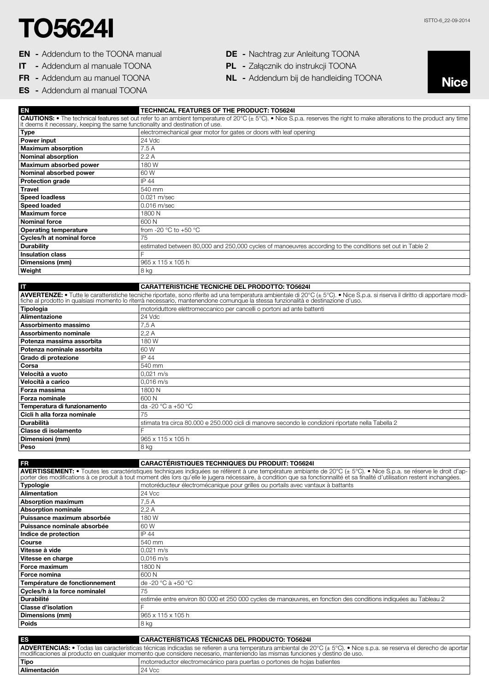## $\textbf{TOS624I}$

- EN Addendum to the TOONA manual
- IT Addendum al manuale TOONA
- FR Addendum au manuel TOONA
- ES Addendum al manual TOONA
- DE Nachtrag zur Anleitung TOONA
- PL Załącznik do instrukcji TOONA
- NL Addendum bij de handleiding TOONA



| EN                            | <b>TECHNICAL FEATURES OF THE PRODUCT: TO56241</b>                                                                                                                                                                                                                                                                                                  |
|-------------------------------|----------------------------------------------------------------------------------------------------------------------------------------------------------------------------------------------------------------------------------------------------------------------------------------------------------------------------------------------------|
|                               | CAUTIONS: • The technical features set out refer to an ambient temperature of 20°C (± 5°C). • Nice S.p.a. reserves the right to make alterations to the product any time it deems it necessary, keeping the same functionality                                                                                                                     |
|                               |                                                                                                                                                                                                                                                                                                                                                    |
| <b>Type</b>                   | electromechanical gear motor for gates or doors with leaf opening                                                                                                                                                                                                                                                                                  |
| Power input                   | 24 Vdc                                                                                                                                                                                                                                                                                                                                             |
| <b>Maximum absorption</b>     | 7.5 A                                                                                                                                                                                                                                                                                                                                              |
| <b>Nominal absorption</b>     | 2.2A                                                                                                                                                                                                                                                                                                                                               |
| Maximum absorbed power        | 180 W                                                                                                                                                                                                                                                                                                                                              |
| Nominal absorbed power        | 60 W                                                                                                                                                                                                                                                                                                                                               |
| <b>Protection grade</b>       | IP 44                                                                                                                                                                                                                                                                                                                                              |
| <b>Travel</b>                 | 540 mm                                                                                                                                                                                                                                                                                                                                             |
| <b>Speed loadless</b>         | 0.021 m/sec                                                                                                                                                                                                                                                                                                                                        |
|                               |                                                                                                                                                                                                                                                                                                                                                    |
| <b>Speed loaded</b>           | 0.016 m/sec                                                                                                                                                                                                                                                                                                                                        |
| <b>Maximum force</b>          | 1800 N                                                                                                                                                                                                                                                                                                                                             |
| <b>Nominal force</b>          | 600N                                                                                                                                                                                                                                                                                                                                               |
| <b>Operating temperature</b>  | from -20 °C to +50 °C                                                                                                                                                                                                                                                                                                                              |
| Cycles/h at nominal force     | 75                                                                                                                                                                                                                                                                                                                                                 |
| <b>Durability</b>             | estimated between 80,000 and 250,000 cycles of manoeuvres according to the conditions set out in Table 2                                                                                                                                                                                                                                           |
| <b>Insulation class</b>       | F                                                                                                                                                                                                                                                                                                                                                  |
| <b>Dimensions (mm)</b>        | 965 x 115 x 105 h                                                                                                                                                                                                                                                                                                                                  |
| Weight                        | 8 kg                                                                                                                                                                                                                                                                                                                                               |
|                               |                                                                                                                                                                                                                                                                                                                                                    |
|                               |                                                                                                                                                                                                                                                                                                                                                    |
| IT                            | <b>CARATTERISTICHE TECNICHE DEL PRODOTTO: TO56241</b>                                                                                                                                                                                                                                                                                              |
|                               | AVVERTENZE: • Tutte le caratteristiche tecniche riportate, sono riferite ad una temperatura ambientale di 20°C (± 5°C). • Nice S.p.a. si riserva il diritto di apportare modifiche al prodotto in qualsiasi momento lo riterrà                                                                                                                     |
|                               |                                                                                                                                                                                                                                                                                                                                                    |
| <b>Tipologia</b>              | motoriduttore elettromeccanico per cancelli o portoni ad ante battenti                                                                                                                                                                                                                                                                             |
| Alimentazione                 | 24 Vdc                                                                                                                                                                                                                                                                                                                                             |
| Assorbimento massimo          | 7,5 A                                                                                                                                                                                                                                                                                                                                              |
| Assorbimento nominale         | 2,2A                                                                                                                                                                                                                                                                                                                                               |
| Potenza massima assorbita     | 180W                                                                                                                                                                                                                                                                                                                                               |
| Potenza nominale assorbita    | 60 W                                                                                                                                                                                                                                                                                                                                               |
| Grado di protezione           | IP 44                                                                                                                                                                                                                                                                                                                                              |
| Corsa                         | 540 mm                                                                                                                                                                                                                                                                                                                                             |
| Velocità a vuoto              | 0,021 m/s                                                                                                                                                                                                                                                                                                                                          |
| Velocità a carico             |                                                                                                                                                                                                                                                                                                                                                    |
|                               | 0,016 m/s                                                                                                                                                                                                                                                                                                                                          |
| Forza massima                 | 1800 N                                                                                                                                                                                                                                                                                                                                             |
| <b>Forza nominale</b>         | 600 N                                                                                                                                                                                                                                                                                                                                              |
| Temperatura di funzionamento  | da -20 °C a +50 °C                                                                                                                                                                                                                                                                                                                                 |
| Cicli h alla forza nominale   | 75                                                                                                                                                                                                                                                                                                                                                 |
| Durabilità                    | stimata tra circa 80.000 e 250.000 cicli di manovre secondo le condizioni riportate nella Tabella 2                                                                                                                                                                                                                                                |
| Classe di isolamento          | Ē                                                                                                                                                                                                                                                                                                                                                  |
| Dimensioni (mm)               | 965 x 115 x 105 h                                                                                                                                                                                                                                                                                                                                  |
| Peso                          | 8 kg                                                                                                                                                                                                                                                                                                                                               |
|                               |                                                                                                                                                                                                                                                                                                                                                    |
| FR                            | <b>CARACTÉRISTIQUES TECHNIQUES DU PRODUIT: TO56241</b>                                                                                                                                                                                                                                                                                             |
|                               |                                                                                                                                                                                                                                                                                                                                                    |
|                               | AVERTISSEMENT: . Toutes les caractéristiques techniques indiquées se réfèrent à une température ambiante de 20°C (± 5°C). . Nice S.p.a. se réserve le droit d'ap-<br>porter des modifications à ce produit à tout moment dès lors qu'elle le jugera nécessaire, à condition que sa fonctionnalité et sa finalité d'utilisation restent inchangées. |
| <b>Typologie</b>              | motoréducteur électromécanique pour grilles ou portails avec vantaux à battants                                                                                                                                                                                                                                                                    |
| Alimentation                  | 24 Vcc                                                                                                                                                                                                                                                                                                                                             |
| <b>Absorption maximum</b>     |                                                                                                                                                                                                                                                                                                                                                    |
|                               | 7,5 A                                                                                                                                                                                                                                                                                                                                              |
| <b>Absorption nominale</b>    | 2,2A                                                                                                                                                                                                                                                                                                                                               |
| Puissance maximum absorbée    | 180W                                                                                                                                                                                                                                                                                                                                               |
| Puissance nominale absorbée   | 60 W                                                                                                                                                                                                                                                                                                                                               |
| Indice de protection          | IP 44                                                                                                                                                                                                                                                                                                                                              |
| Course                        | 540 mm                                                                                                                                                                                                                                                                                                                                             |
| Vitesse à vide                | 0,021 m/s                                                                                                                                                                                                                                                                                                                                          |
| Vitesse en charge             | 0,016 m/s                                                                                                                                                                                                                                                                                                                                          |
| Force maximum                 | 1800 N                                                                                                                                                                                                                                                                                                                                             |
| Force nomina                  | 600 N                                                                                                                                                                                                                                                                                                                                              |
| Température de fonctionnement | de -20 °C à +50 °C                                                                                                                                                                                                                                                                                                                                 |
|                               |                                                                                                                                                                                                                                                                                                                                                    |
| Cycles/h à la force nominalel | 75                                                                                                                                                                                                                                                                                                                                                 |
| <b>Durabilité</b>             | estimée entre environ 80 000 et 250 000 cycles de manœuvres, en fonction des conditions indiquées au Tableau 2                                                                                                                                                                                                                                     |
| <b>Classe d'isolation</b>     |                                                                                                                                                                                                                                                                                                                                                    |
| Dimensions (mm)               | 965 x 115 x 105 h                                                                                                                                                                                                                                                                                                                                  |
| Poids                         | 8 kg                                                                                                                                                                                                                                                                                                                                               |

| <b>ES</b>                                                                                                                                                                                                                                                                                                      | <b>I CARACTERISTICAS TÉCNICAS DEL PRODUCTO: TO56241</b>                  |
|----------------------------------------------------------------------------------------------------------------------------------------------------------------------------------------------------------------------------------------------------------------------------------------------------------------|--------------------------------------------------------------------------|
| <b>ADVERTENCIAS:</b> • Todas las características técnicas indicadas se refieren a una temperatura ambiental de 20°C (± 5°C). • Nice s.p.a. se reserva el derecho de aportar  <br>I modificaciones al producto en cualquier momento que considere necesario, manteniendo las mismas funciones y destino de uso. |                                                                          |
| ' Tipo                                                                                                                                                                                                                                                                                                         | motorreductor electromecánico para puertas o portones de hojas batientes |
| <b>Alimentación</b>                                                                                                                                                                                                                                                                                            | 24 Vcc                                                                   |